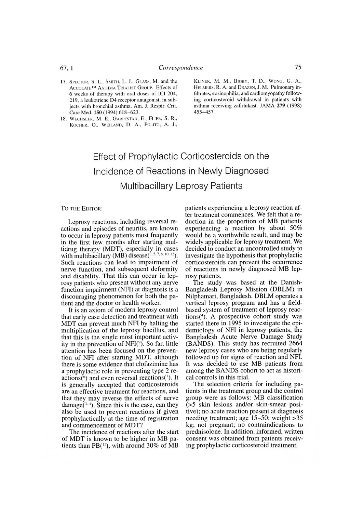## Effect of Prophylactic Corticosteroids on the Incidence of Reactions in Newly Diagnosed Multibacillary Leprosy Patients

TO THE EDITOR:

Leprosy reactions, including reversal reactions and episodes of neuritis, are known to occur in leprosy patients most frequently in the first few months after starting multidrug therapy (MDT), especially in cases with multibacillary (MB) disease $(^{2,5,7,8,10,12})$ . Such reactions can lead to impairment of nerve function, and subsequent deformity and disability. That this can occur in leprosy patients who present without any nerve function impairment (NFI) at diagnosis is a discouraging phenomenon for both the patient and the doctor or health worker.

It is an axiom of modern leprosy control that early case detection and treatment with MDT can prevent much NFI by halting the multiplication of the leprosy bacillus, and that this is the single most important activity in the prevention of  $NFI$ <sup>( $9$ </sup>). So far, little attention has been focused on the prevention of NFI after starting MDT, although there is some evidence that clofazimine has a prophylactic role in preventing type 2 reactions(<sup>6</sup>) and even reversal reactions(<sup>1</sup>). It is generally accepted that corticosteroids are an effective treatment for reactions, and that they may reverse the effects of nerve damage( $3, 4$ ). Since this is the case, can they also be used to prevent reactions if given prophylactically at the time of registration and commencement of MDT?

The incidence of reactions after the start of MDT is known to be higher in MB patients than  $PB(1)$ , with around 30% of MB

patients experiencing a leprosy reaction after treatment commences. We felt that a reduction in the proportion of MB patients experiencing a reaction by about 50% would be a worthwhile result, and may be widely applicable for leprosy treatment. We decided to conduct an uncontrolled study to investigate the hypothesis that prophylactic corticosteroids can preveni the occurrence of reactions in newly diagnosed MB leprosy patients.

The study was based at the Danish-Bangladesh Leprosy Mission (DBLM) in Nilphamari, Bangladesh. DBLM operates a vertical leprosy program and has a fieldbased system of treatment of leprosy reac $tions<sup>(4)</sup>$ . A prospective cohort study was started there in 1995 to investigate the epidemiology of NFI in leprosy patients, the Bangladesh Acute Nerve Damage Study (BANDS). This study has recruited 2664 new leprosy cases who are being regularly followed up for signs of reaction and NFI. It was decided to use MB patients from among the BANDS cohort to act as historical controls in this trial.

The selection criteria for including patients in the treatment group and the control group were as follows: MB classification *(>5* skin lesions and/or skin-smear positive); no acute reaction present at diagnosis needing treatment; age 15-50; weight >35 kg; not pregnant; no contraindications to prednisolone. In addition, informed, written consent was obtained from patients receiving prophylactic corticosteroid treatment.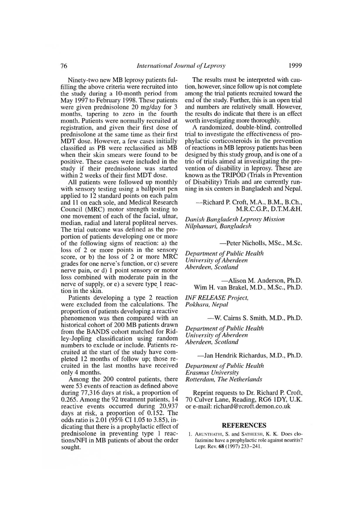76<sup>*International Journal of Leprosy*<br>
76<sup>*International Journal of Leprosy*<br>
7<sup>1999</sup><br>
7<sup>1</sup> The results must be interpreted with cau-<br>
7<sup>1</sup> The results must be interpreted with cau-<br>
8<sup>1</sup> The results must be interpreted wi</sup></sup> Ninety-two new MB leprosy patients fulfilling the above criteria were recruited into the study during a 10-month period from May 1997 to February 1998. These patients were given prednisolone 20 mg/day for 3 months, tapering to zero in the fourth month. Patients were normally recruited at registration, and given their first dose of prednisolone at the same time as their first MDT dose. However, a few cases initially classified as PB were reclassified as MB when their skin smears were found to be positive. These cases were included in the study if their prednisolone was started within 2 weeks of their first MDT dose.

All patients were followed up monthly with sensory testing using a ballpoint pen applied to 12 standard points on each palm and 11 on each sole, and Medical Research Council (MRC) motor strength testing to one movement of each of the facial, ulnar, median, radial and lateral popliteal nerves. The trial outcome was defined as the proportion of patients developing one or more of the following signs of reaction: a) the loss of 2 or more points in the sensory score, or b) the loss of 2 or more MRC grades for one nerve's function, or c) severe nerve pain, or d) 1 point sensory or motor loss combined with moderate pain in the nerve of supply, or e) a severe type 1 reaction in the skin.

Patients developing a type 2 reaction were excluded from the calculations. The proportion of patients developing a reactive phenomenon was then compared with an historical cohort of 200 MB patients drawn from the BANDS cohort matched for Ridley-Jopling classification using random numbers to exclude or include. Patients recruited at the start of the study have completed 12 months of follow up; those recruited in the last months have received only 4 months.

Among the 200 control patients, there were 53 events of reaction as defined above during 77,316 days at risk, a proportion of 0.265. Among the 92 treatment patients, 14 reactive events occurred during 20,937 days at risk, a proportion of 0.152. The odds ratio is 2.01 (95% CI 1.05 to 3.85), indicating that there is a prophylactic effect of prednisolone in preventing type 1 reactions/NFI in MB patients of about the order sought.

The results must be interpreted with caution, however, since follow up is not complete among the trial patients recruited toward the end of the study. Further, this is an open trial and numbers are relatively small. However, the results do indicate that there is an effect worth investigating more thoroughly.

A randomized, double-blind, controlled trial to investigate the effectiveness of prophylactic corticosteroids in the prevention of reactions in MB leprosy patients has been designed by this study group, and is one of a trio of trials aimed at investigating the prevention of disability in leprosy. These are known as the TRIPOD (Trials in Prevention of Disability) Trials and are currently running in six centers in Bangladesh and Nepal.

-Richard P. Croft, M.A., B.M., B.Ch., M.R.C.G.P., D.T.M.&H.

*Danish Bangladesh Leprosy Mission Nilphanuiri, Bangladesh*

—Peter Nicholls, MSc., M.Sc.

*Department of Public Health University of Aberdeen Aberdeen, Scotland*

> —Alison M. Anderson, Ph.D. Wim H. van Brakel, M.D., M.Sc., Ph.D.

*INF RELEASE Project, Pokhara, Nepal*

—W. Cairns S. Smith, M.D., Ph.D.

*Department of Public Health University of Aberdeen Aberdeen, Scotland*

—Jan Hendrik Richardus, M.D., Ph.D.

*Department of Public Health Erasmus University Rotterdam, The Netherlands*

Reprint requests to Dr. Richard P. Croft, 70 Culver Lane, Reading, RG6 1DY, U.K. or e-mail: richard@rcroft.demon.co.uk

## REFERENCES

1. ARUNTHATHI, S. and SATHEESH, K. K. Does clofazimine have a prophylactic role against neuritis? Lepr. Rev. 68 (1997) 233-241.